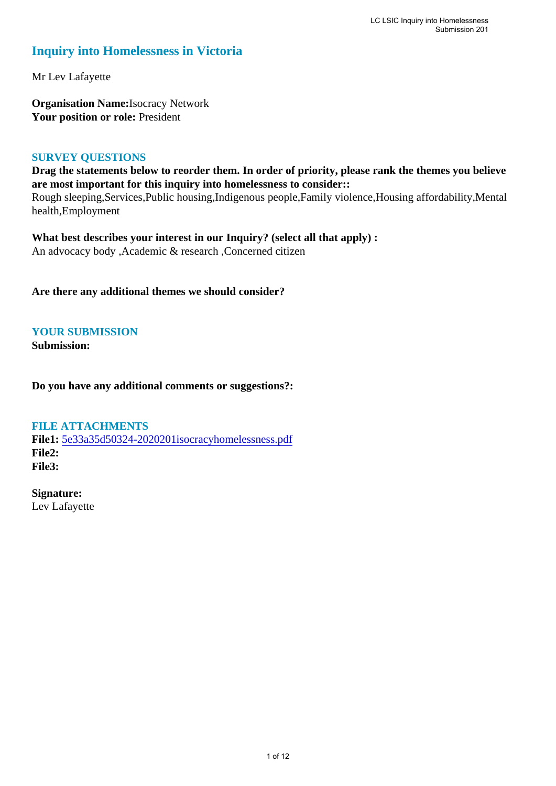### **Inquiry into Homelessness in Victoria**

Mr Lev Lafayette

**Organisation Name:**Isocracy Network Your position or role: President

#### **SURVEY QUESTIONS**

**Drag the statements below to reorder them. In order of priority, please rank the themes you believe are most important for this inquiry into homelessness to consider::** 

Rough sleeping,Services,Public housing,Indigenous people,Family violence,Housing affordability,Mental health,Employment

**What best describes your interest in our Inquiry? (select all that apply) :**  An advocacy body ,Academic & research ,Concerned citizen

**Are there any additional themes we should consider?**

**YOUR SUBMISSION**

**Submission:** 

**Do you have any additional comments or suggestions?:** 

#### **FILE ATTACHMENTS**

**File1:** [5e33a35d50324-2020201isocracyhomelessness.pdf](https://www.parliament.vic.gov.au/component/rsform/submission-view-file/bbc2f885ebecf8b41011f669f7a60dcd/5073f14535fe25eef6e2edfe9bb8a70a?Itemid=527) **File2: File3:** 

**Signature:** Lev Lafayette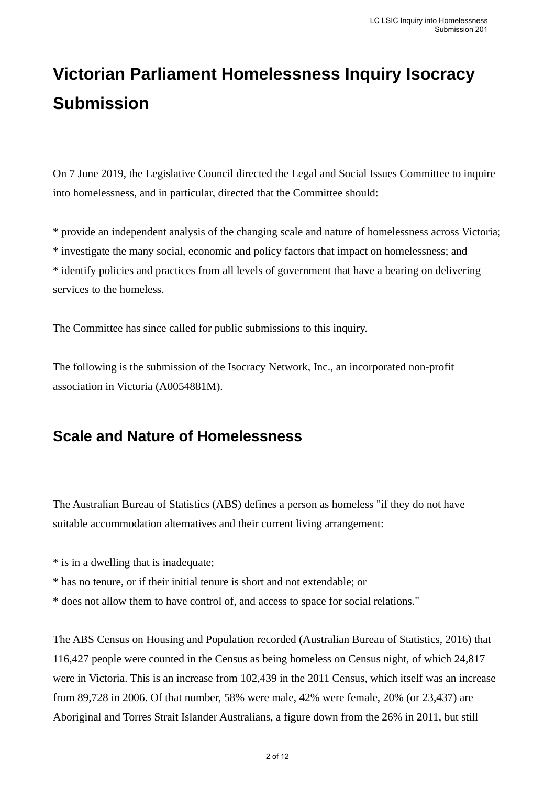# **Victorian Parliament Homelessness Inquiry Isocracy Submission**

On 7 June 2019, the Legislative Council directed the Legal and Social Issues Committee to inquire into homelessness, and in particular, directed that the Committee should:

\* provide an independent analysis of the changing scale and nature of homelessness across Victoria; \* investigate the many social, economic and policy factors that impact on homelessness; and \* identify policies and practices from all levels of government that have a bearing on delivering services to the homeless.

The Committee has since called for public submissions to this inquiry.

The following is the submission of the Isocracy Network, Inc., an incorporated non-profit association in Victoria (A0054881M).

# **Scale and Nature of Homelessness**

The Australian Bureau of Statistics (ABS) defines a person as homeless "if they do not have suitable accommodation alternatives and their current living arrangement:

\* is in a dwelling that is inadequate;

- \* has no tenure, or if their initial tenure is short and not extendable; or
- \* does not allow them to have control of, and access to space for social relations."

The ABS Census on Housing and Population recorded (Australian Bureau of Statistics, 2016) that 116,427 people were counted in the Census as being homeless on Census night, of which 24,817 were in Victoria. This is an increase from 102,439 in the 2011 Census, which itself was an increase from 89,728 in 2006. Of that number, 58% were male, 42% were female, 20% (or 23,437) are Aboriginal and Torres Strait Islander Australians, a figure down from the 26% in 2011, but still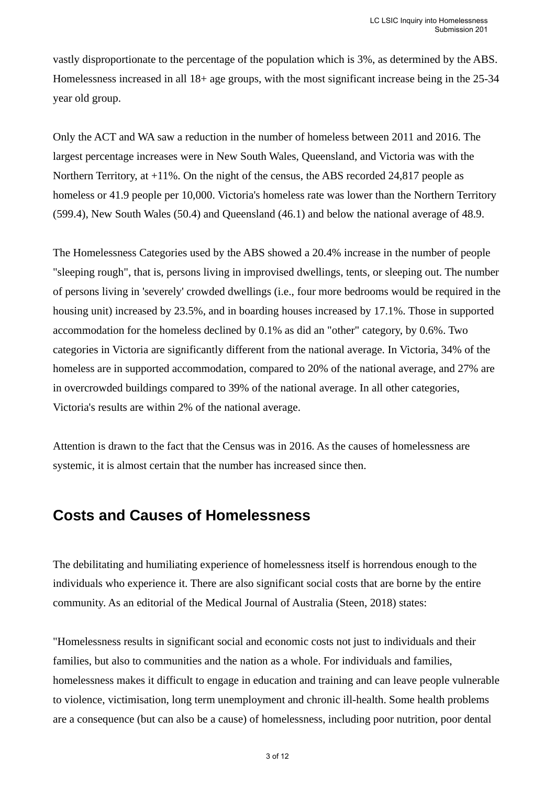vastly disproportionate to the percentage of the population which is 3%, as determined by the ABS. Homelessness increased in all 18+ age groups, with the most significant increase being in the 25-34 year old group.

Only the ACT and WA saw a reduction in the number of homeless between 2011 and 2016. The largest percentage increases were in New South Wales, Queensland, and Victoria was with the Northern Territory, at +11%. On the night of the census, the ABS recorded 24,817 people as homeless or 41.9 people per 10,000. Victoria's homeless rate was lower than the Northern Territory (599.4), New South Wales (50.4) and Queensland (46.1) and below the national average of 48.9.

The Homelessness Categories used by the ABS showed a 20.4% increase in the number of people "sleeping rough", that is, persons living in improvised dwellings, tents, or sleeping out. The number of persons living in 'severely' crowded dwellings (i.e., four more bedrooms would be required in the housing unit) increased by 23.5%, and in boarding houses increased by 17.1%. Those in supported accommodation for the homeless declined by 0.1% as did an "other" category, by 0.6%. Two categories in Victoria are significantly different from the national average. In Victoria, 34% of the homeless are in supported accommodation, compared to 20% of the national average, and 27% are in overcrowded buildings compared to 39% of the national average. In all other categories, Victoria's results are within 2% of the national average.

Attention is drawn to the fact that the Census was in 2016. As the causes of homelessness are systemic, it is almost certain that the number has increased since then.

### **Costs and Causes of Homelessness**

The debilitating and humiliating experience of homelessness itself is horrendous enough to the individuals who experience it. There are also significant social costs that are borne by the entire community. As an editorial of the Medical Journal of Australia (Steen, 2018) states:

"Homelessness results in significant social and economic costs not just to individuals and their families, but also to communities and the nation as a whole. For individuals and families, homelessness makes it difficult to engage in education and training and can leave people vulnerable to violence, victimisation, long term unemployment and chronic ill-health. Some health problems are a consequence (but can also be a cause) of homelessness, including poor nutrition, poor dental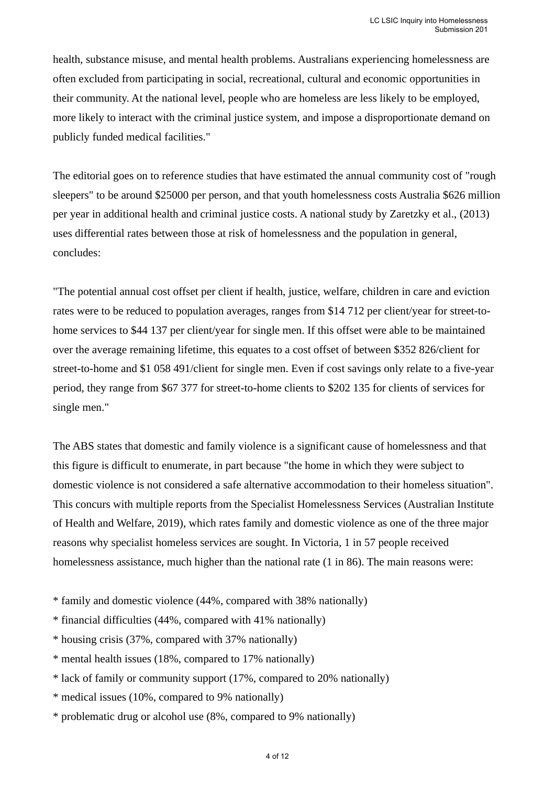health, substance misuse, and mental health problems. Australians experiencing homelessness are often excluded from participating in social, recreational, cultural and economic opportunities in their community. At the national level, people who are homeless are less likely to be employed, more likely to interact with the criminal justice system, and impose a disproportionate demand on publicly funded medical facilities."

The editorial goes on to reference studies that have estimated the annual community cost of "rough sleepers" to be around \$25000 per person, and that youth homelessness costs Australia \$626 million per year in additional health and criminal justice costs. A national study by Zaretzky et al., (2013) uses differential rates between those at risk of homelessness and the population in general, concludes:

"The potential annual cost offset per client if health, justice, welfare, children in care and eviction rates were to be reduced to population averages, ranges from \$14 712 per client/year for street-tohome services to \$44 137 per client/year for single men. If this offset were able to be maintained over the average remaining lifetime, this equates to a cost offset of between \$352 826/client for street-to-home and \$1 058 491/client for single men. Even if cost savings only relate to a five-year period, they range from \$67 377 for street-to-home clients to \$202 135 for clients of services for single men."

The ABS states that domestic and family violence is a significant cause of homelessness and that this figure is difficult to enumerate, in part because "the home in which they were subject to domestic violence is not considered a safe alternative accommodation to their homeless situation". This concurs with multiple reports from the Specialist Homelessness Services (Australian Institute of Health and Welfare, 2019), which rates family and domestic violence as one of the three major reasons why specialist homeless services are sought. In Victoria, 1 in 57 people received homelessness assistance, much higher than the national rate (1 in 86). The main reasons were:

- \* family and domestic violence (44%, compared with 38% nationally)
- \* financial difficulties (44%, compared with 41% nationally)
- \* housing crisis (37%, compared with 37% nationally)
- \* mental health issues (18%, compared to 17% nationally)
- \* lack of family or community support (17%, compared to 20% nationally)
- \* medical issues (10%, compared to 9% nationally)
- \* problematic drug or alcohol use (8%, compared to 9% nationally)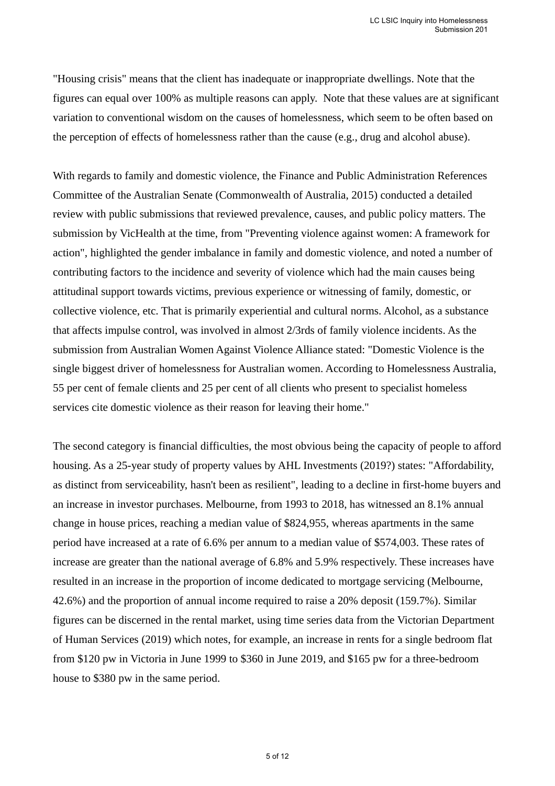"Housing crisis" means that the client has inadequate or inappropriate dwellings. Note that the figures can equal over 100% as multiple reasons can apply. Note that these values are at significant variation to conventional wisdom on the causes of homelessness, which seem to be often based on the perception of effects of homelessness rather than the cause (e.g., drug and alcohol abuse).

With regards to family and domestic violence, the Finance and Public Administration References Committee of the Australian Senate (Commonwealth of Australia, 2015) conducted a detailed review with public submissions that reviewed prevalence, causes, and public policy matters. The submission by VicHealth at the time, from "Preventing violence against women: A framework for action", highlighted the gender imbalance in family and domestic violence, and noted a number of contributing factors to the incidence and severity of violence which had the main causes being attitudinal support towards victims, previous experience or witnessing of family, domestic, or collective violence, etc. That is primarily experiential and cultural norms. Alcohol, as a substance that affects impulse control, was involved in almost 2/3rds of family violence incidents. As the submission from Australian Women Against Violence Alliance stated: "Domestic Violence is the single biggest driver of homelessness for Australian women. According to Homelessness Australia, 55 per cent of female clients and 25 per cent of all clients who present to specialist homeless services cite domestic violence as their reason for leaving their home."

The second category is financial difficulties, the most obvious being the capacity of people to afford housing. As a 25-year study of property values by AHL Investments (2019?) states: "Affordability, as distinct from serviceability, hasn't been as resilient", leading to a decline in first-home buyers and an increase in investor purchases. Melbourne, from 1993 to 2018, has witnessed an 8.1% annual change in house prices, reaching a median value of \$824,955, whereas apartments in the same period have increased at a rate of 6.6% per annum to a median value of \$574,003. These rates of increase are greater than the national average of 6.8% and 5.9% respectively. These increases have resulted in an increase in the proportion of income dedicated to mortgage servicing (Melbourne, 42.6%) and the proportion of annual income required to raise a 20% deposit (159.7%). Similar figures can be discerned in the rental market, using time series data from the Victorian Department of Human Services (2019) which notes, for example, an increase in rents for a single bedroom flat from \$120 pw in Victoria in June 1999 to \$360 in June 2019, and \$165 pw for a three-bedroom house to \$380 pw in the same period.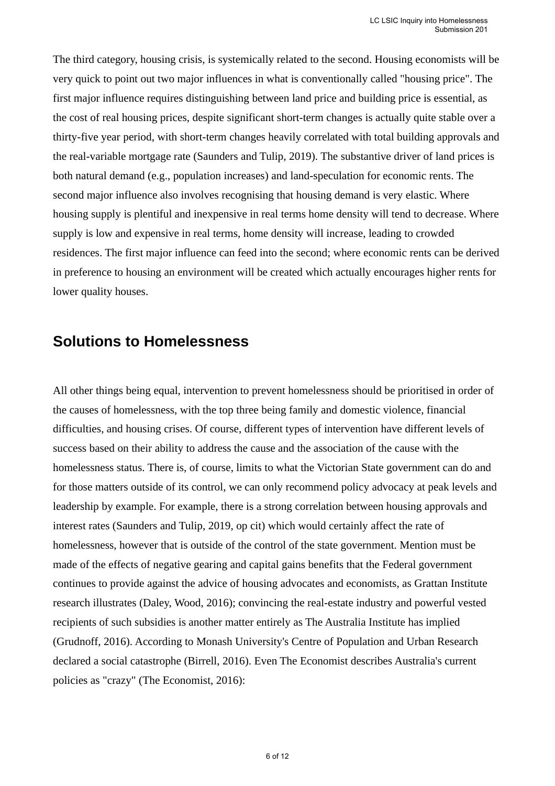The third category, housing crisis, is systemically related to the second. Housing economists will be very quick to point out two major influences in what is conventionally called "housing price". The first major influence requires distinguishing between land price and building price is essential, as the cost of real housing prices, despite significant short-term changes is actually quite stable over a thirty-five year period, with short-term changes heavily correlated with total building approvals and the real-variable mortgage rate (Saunders and Tulip, 2019). The substantive driver of land prices is both natural demand (e.g., population increases) and land-speculation for economic rents. The second major influence also involves recognising that housing demand is very elastic. Where housing supply is plentiful and inexpensive in real terms home density will tend to decrease. Where supply is low and expensive in real terms, home density will increase, leading to crowded residences. The first major influence can feed into the second; where economic rents can be derived in preference to housing an environment will be created which actually encourages higher rents for lower quality houses.

## **Solutions to Homelessness**

All other things being equal, intervention to prevent homelessness should be prioritised in order of the causes of homelessness, with the top three being family and domestic violence, financial difficulties, and housing crises. Of course, different types of intervention have different levels of success based on their ability to address the cause and the association of the cause with the homelessness status. There is, of course, limits to what the Victorian State government can do and for those matters outside of its control, we can only recommend policy advocacy at peak levels and leadership by example. For example, there is a strong correlation between housing approvals and interest rates (Saunders and Tulip, 2019, op cit) which would certainly affect the rate of homelessness, however that is outside of the control of the state government. Mention must be made of the effects of negative gearing and capital gains benefits that the Federal government continues to provide against the advice of housing advocates and economists, as Grattan Institute research illustrates (Daley, Wood, 2016); convincing the real-estate industry and powerful vested recipients of such subsidies is another matter entirely as The Australia Institute has implied (Grudnoff, 2016). According to Monash University's Centre of Population and Urban Research declared a social catastrophe (Birrell, 2016). Even The Economist describes Australia's current policies as "crazy" (The Economist, 2016):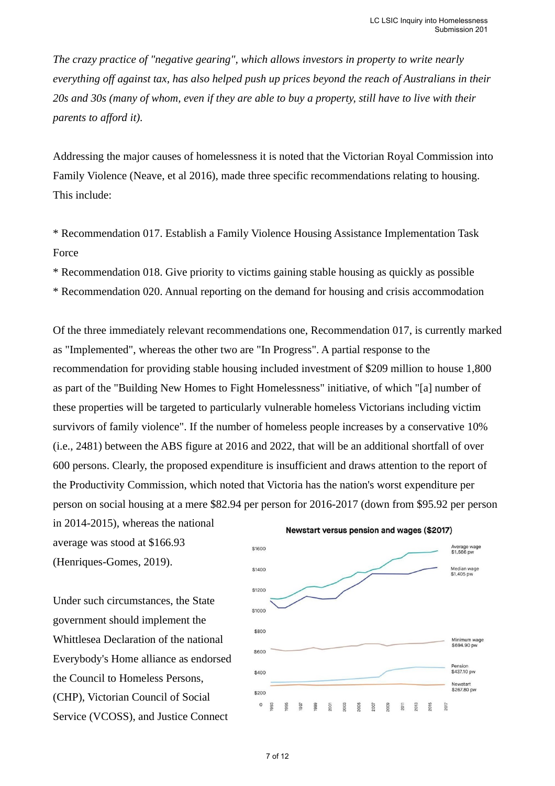*The crazy practice of "negative gearing", which allows investors in property to write nearly everything off against tax, has also helped push up prices beyond the reach of Australians in their 20s and 30s (many of whom, even if they are able to buy a property, still have to live with their parents to afford it).*

Addressing the major causes of homelessness it is noted that the Victorian Royal Commission into Family Violence (Neave, et al 2016), made three specific recommendations relating to housing. This include:

\* Recommendation 017. Establish a Family Violence Housing Assistance Implementation Task Force

\* Recommendation 018. Give priority to victims gaining stable housing as quickly as possible

\* Recommendation 020. Annual reporting on the demand for housing and crisis accommodation

Of the three immediately relevant recommendations one, Recommendation 017, is currently marked as "Implemented", whereas the other two are "In Progress". A partial response to the recommendation for providing stable housing included investment of \$209 million to house 1,800 as part of the "Building New Homes to Fight Homelessness" initiative, of which "[a] number of these properties will be targeted to particularly vulnerable homeless Victorians including victim survivors of family violence". If the number of homeless people increases by a conservative 10% (i.e., 2481) between the ABS figure at 2016 and 2022, that will be an additional shortfall of over 600 persons. Clearly, the proposed expenditure is insufficient and draws attention to the report of the Productivity Commission, which noted that Victoria has the nation's worst expenditure per person on social housing at a mere \$82.94 per person for 2016-2017 (down from \$95.92 per person

in 2014-2015), whereas the national average was stood at \$166.93 (Henriques-Gomes, 2019).

Under such circumstances, the State government should implement the Whittlesea Declaration of the national Everybody's Home alliance as endorsed the Council to Homeless Persons, (CHP), Victorian Council of Social Service (VCOSS), and Justice Connect



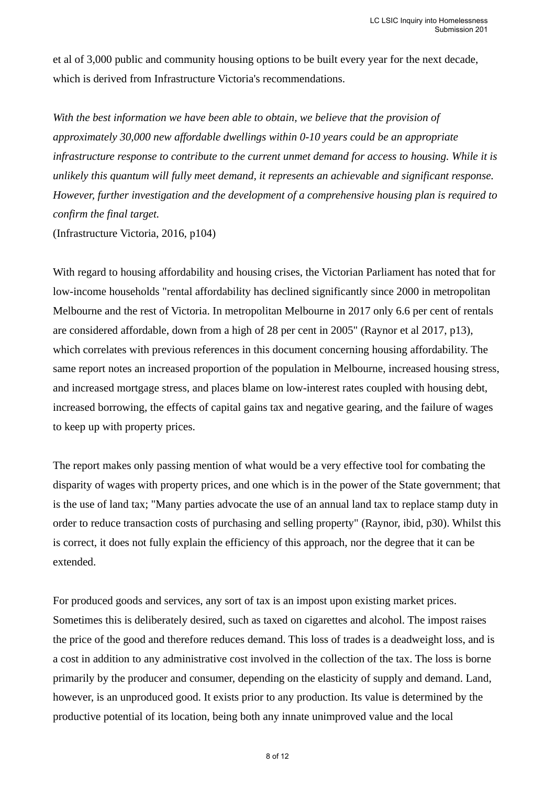et al of 3,000 public and community housing options to be built every year for the next decade, which is derived from Infrastructure Victoria's recommendations.

*With the best information we have been able to obtain, we believe that the provision of approximately 30,000 new affordable dwellings within 0-10 years could be an appropriate infrastructure response to contribute to the current unmet demand for access to housing. While it is unlikely this quantum will fully meet demand, it represents an achievable and significant response. However, further investigation and the development of a comprehensive housing plan is required to confirm the final target.*

(Infrastructure Victoria, 2016, p104)

With regard to housing affordability and housing crises, the Victorian Parliament has noted that for low-income households "rental affordability has declined significantly since 2000 in metropolitan Melbourne and the rest of Victoria. In metropolitan Melbourne in 2017 only 6.6 per cent of rentals are considered affordable, down from a high of 28 per cent in 2005" (Raynor et al 2017, p13), which correlates with previous references in this document concerning housing affordability. The same report notes an increased proportion of the population in Melbourne, increased housing stress, and increased mortgage stress, and places blame on low-interest rates coupled with housing debt, increased borrowing, the effects of capital gains tax and negative gearing, and the failure of wages to keep up with property prices.

The report makes only passing mention of what would be a very effective tool for combating the disparity of wages with property prices, and one which is in the power of the State government; that is the use of land tax; "Many parties advocate the use of an annual land tax to replace stamp duty in order to reduce transaction costs of purchasing and selling property" (Raynor, ibid, p30). Whilst this is correct, it does not fully explain the efficiency of this approach, nor the degree that it can be extended.

For produced goods and services, any sort of tax is an impost upon existing market prices. Sometimes this is deliberately desired, such as taxed on cigarettes and alcohol. The impost raises the price of the good and therefore reduces demand. This loss of trades is a deadweight loss, and is a cost in addition to any administrative cost involved in the collection of the tax. The loss is borne primarily by the producer and consumer, depending on the elasticity of supply and demand. Land, however, is an unproduced good. It exists prior to any production. Its value is determined by the productive potential of its location, being both any innate unimproved value and the local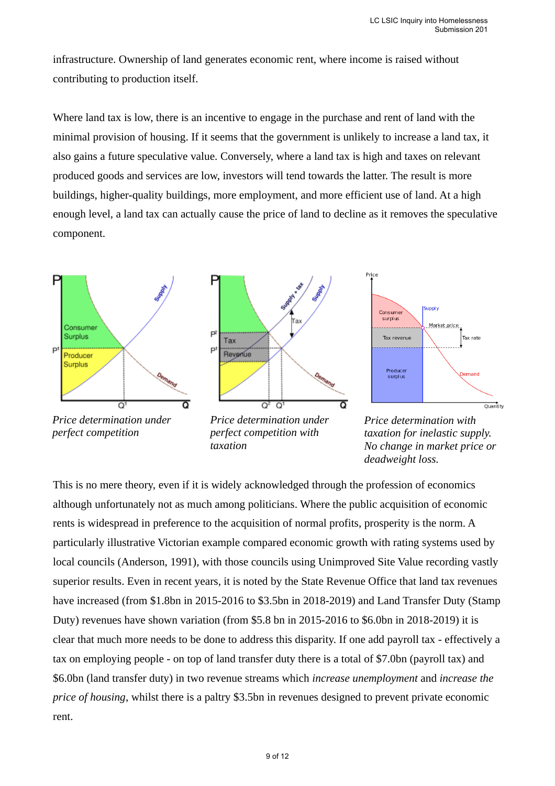infrastructure. Ownership of land generates economic rent, where income is raised without contributing to production itself.

Where land tax is low, there is an incentive to engage in the purchase and rent of land with the minimal provision of housing. If it seems that the government is unlikely to increase a land tax, it also gains a future speculative value. Conversely, where a land tax is high and taxes on relevant produced goods and services are low, investors will tend towards the latter. The result is more buildings, higher-quality buildings, more employment, and more efficient use of land. At a high enough level, a land tax can actually cause the price of land to decline as it removes the speculative component.



*perfect competition*

*perfect competition with taxation*

*taxation for inelastic supply. No change in market price or deadweight loss.*

This is no mere theory, even if it is widely acknowledged through the profession of economics although unfortunately not as much among politicians. Where the public acquisition of economic rents is widespread in preference to the acquisition of normal profits, prosperity is the norm. A particularly illustrative Victorian example compared economic growth with rating systems used by local councils (Anderson, 1991), with those councils using Unimproved Site Value recording vastly superior results. Even in recent years, it is noted by the State Revenue Office that land tax revenues have increased (from \$1.8bn in 2015-2016 to \$3.5bn in 2018-2019) and Land Transfer Duty (Stamp Duty) revenues have shown variation (from \$5.8 bn in 2015-2016 to \$6.0bn in 2018-2019) it is clear that much more needs to be done to address this disparity. If one add payroll tax - effectively a tax on employing people - on top of land transfer duty there is a total of \$7.0bn (payroll tax) and \$6.0bn (land transfer duty) in two revenue streams which *increase unemployment* and *increase the price of housing*, whilst there is a paltry \$3.5bn in revenues designed to prevent private economic rent.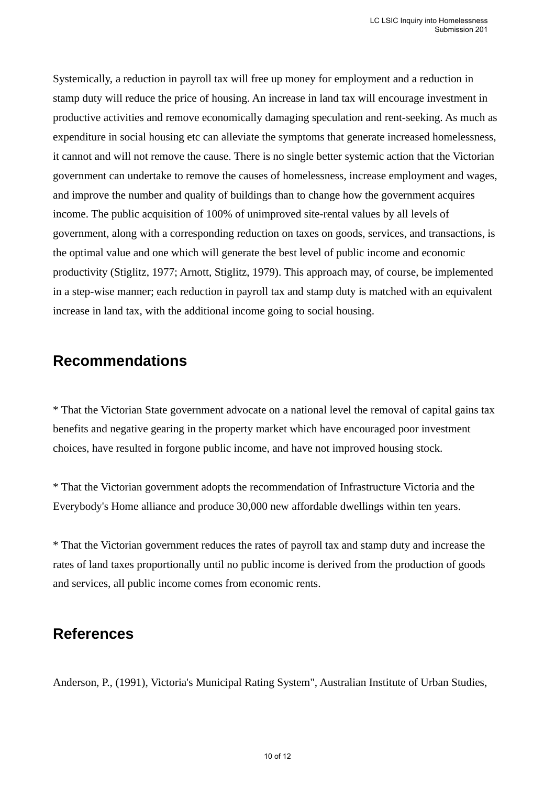Systemically, a reduction in payroll tax will free up money for employment and a reduction in stamp duty will reduce the price of housing. An increase in land tax will encourage investment in productive activities and remove economically damaging speculation and rent-seeking. As much as expenditure in social housing etc can alleviate the symptoms that generate increased homelessness, it cannot and will not remove the cause. There is no single better systemic action that the Victorian government can undertake to remove the causes of homelessness, increase employment and wages, and improve the number and quality of buildings than to change how the government acquires income. The public acquisition of 100% of unimproved site-rental values by all levels of government, along with a corresponding reduction on taxes on goods, services, and transactions, is the optimal value and one which will generate the best level of public income and economic productivity (Stiglitz, 1977; Arnott, Stiglitz, 1979). This approach may, of course, be implemented in a step-wise manner; each reduction in payroll tax and stamp duty is matched with an equivalent increase in land tax, with the additional income going to social housing.

## **Recommendations**

\* That the Victorian State government advocate on a national level the removal of capital gains tax benefits and negative gearing in the property market which have encouraged poor investment choices, have resulted in forgone public income, and have not improved housing stock.

\* That the Victorian government adopts the recommendation of Infrastructure Victoria and the Everybody's Home alliance and produce 30,000 new affordable dwellings within ten years.

\* That the Victorian government reduces the rates of payroll tax and stamp duty and increase the rates of land taxes proportionally until no public income is derived from the production of goods and services, all public income comes from economic rents.

# **References**

Anderson, P., (1991), Victoria's Municipal Rating System", Australian Institute of Urban Studies,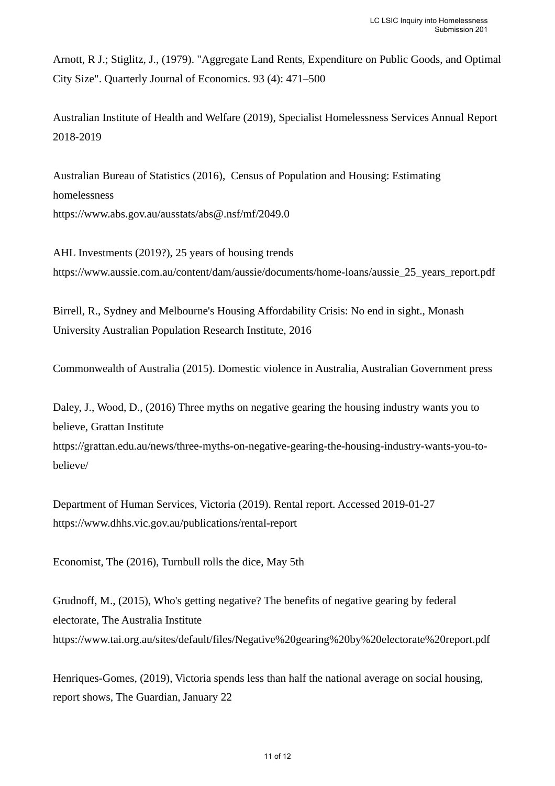Arnott, R J.; Stiglitz, J., (1979). "Aggregate Land Rents, Expenditure on Public Goods, and Optimal City Size". Quarterly Journal of Economics. 93 (4): 471–500

Australian Institute of Health and Welfare (2019), Specialist Homelessness Services Annual Report 2018-2019

Australian Bureau of Statistics (2016), Census of Population and Housing: Estimating homelessness https://www.abs.gov.au/ausstats/abs@.nsf/mf/2049.0

AHL Investments (2019?), 25 years of housing trends https://www.aussie.com.au/content/dam/aussie/documents/home-loans/aussie\_25\_years\_report.pdf

Birrell, R., Sydney and Melbourne's Housing Affordability Crisis: No end in sight., Monash University Australian Population Research Institute, 2016

Commonwealth of Australia (2015). Domestic violence in Australia, Australian Government press

Daley, J., Wood, D., (2016) Three myths on negative gearing the housing industry wants you to believe, Grattan Institute

https://grattan.edu.au/news/three-myths-on-negative-gearing-the-housing-industry-wants-you-tobelieve/

Department of Human Services, Victoria (2019). Rental report. Accessed 2019-01-27 https://www.dhhs.vic.gov.au/publications/rental-report

Economist, The (2016), Turnbull rolls the dice, May 5th

Grudnoff, M., (2015), Who's getting negative? The benefits of negative gearing by federal electorate, The Australia Institute https://www.tai.org.au/sites/default/files/Negative%20gearing%20by%20electorate%20report.pdf

Henriques-Gomes, (2019), Victoria spends less than half the national average on social housing, report shows, The Guardian, January 22